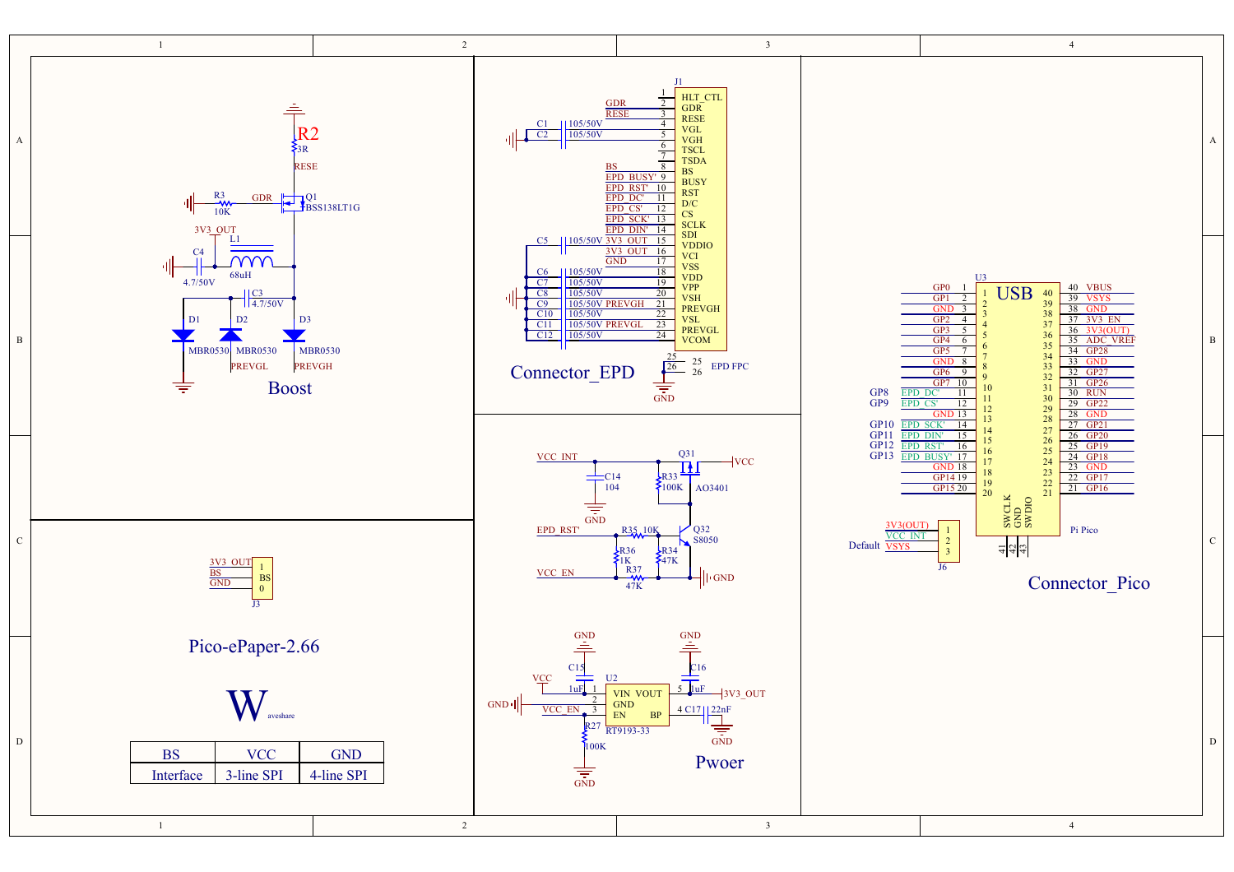